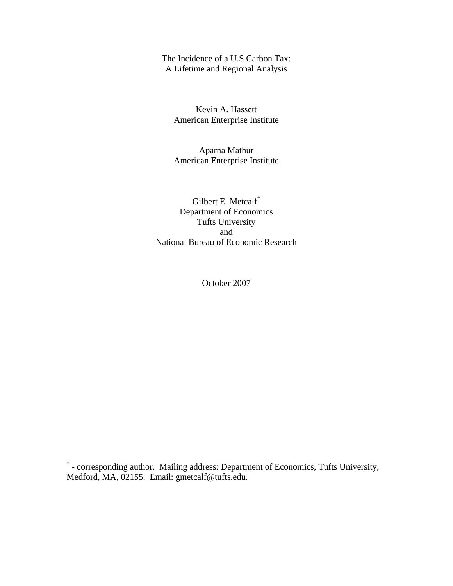The Incidence of a U.S Carbon Tax: A Lifetime and Regional Analysis

Kevin A. Hassett American Enterprise Institute

Aparna Mathur American Enterprise Institute

Gilbert E. Metcalf<sup>\*</sup> Department of Economics Tufts University and National Bureau of Economic Research

October 2007

\* - corresponding author. Mailing address: Department of Economics, Tufts University, Medford, MA, 02155. Email: gmetcalf@tufts.edu.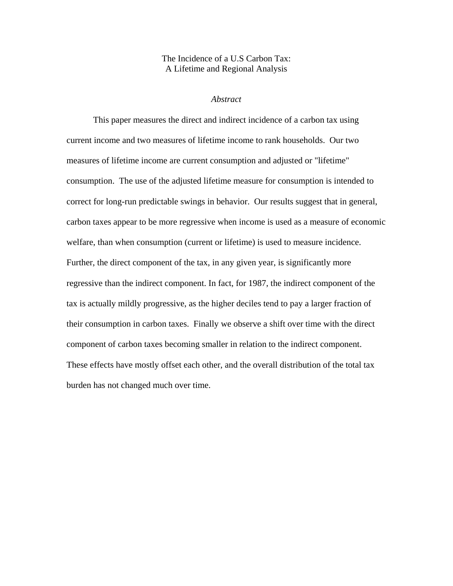# The Incidence of a U.S Carbon Tax: A Lifetime and Regional Analysis

# *Abstract*

This paper measures the direct and indirect incidence of a carbon tax using current income and two measures of lifetime income to rank households. Our two measures of lifetime income are current consumption and adjusted or "lifetime" consumption. The use of the adjusted lifetime measure for consumption is intended to correct for long-run predictable swings in behavior. Our results suggest that in general, carbon taxes appear to be more regressive when income is used as a measure of economic welfare, than when consumption (current or lifetime) is used to measure incidence. Further, the direct component of the tax, in any given year, is significantly more regressive than the indirect component. In fact, for 1987, the indirect component of the tax is actually mildly progressive, as the higher deciles tend to pay a larger fraction of their consumption in carbon taxes. Finally we observe a shift over time with the direct component of carbon taxes becoming smaller in relation to the indirect component. These effects have mostly offset each other, and the overall distribution of the total tax burden has not changed much over time.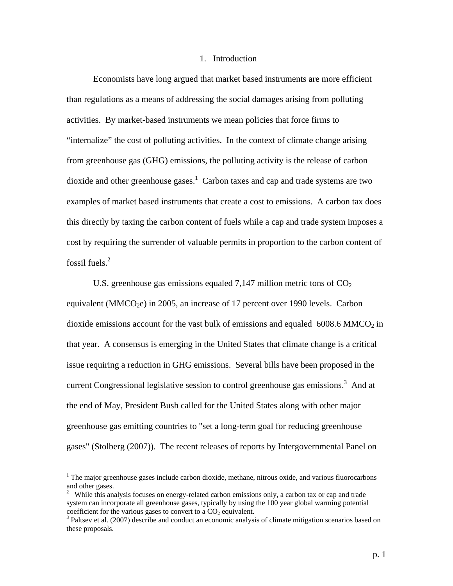## 1. Introduction

Economists have long argued that market based instruments are more efficient than regulations as a means of addressing the social damages arising from polluting activities. By market-based instruments we mean policies that force firms to "internalize" the cost of polluting activities. In the context of climate change arising from greenhouse gas (GHG) emissions, the polluting activity is the release of carbon dioxide and other greenhouse gases.<sup>1</sup> Carbon taxes and cap and trade systems are two examples of market based instruments that create a cost to emissions. A carbon tax does this directly by taxing the carbon content of fuels while a cap and trade system imposes a cost by requiring the surrender of valuable permits in proportion to the carbon content of fossil fuels. $2$ 

U.S. greenhouse gas emissions equaled 7,147 million metric tons of  $CO<sub>2</sub>$ equivalent (MMCO<sub>2</sub>e) in 2005, an increase of 17 percent over 1990 levels. Carbon dioxide emissions account for the vast bulk of emissions and equaled  $6008.6$  MMCO<sub>2</sub> in that year. A consensus is emerging in the United States that climate change is a critical issue requiring a reduction in GHG emissions. Several bills have been proposed in the current Congressional legislative session to control greenhouse gas emissions.<sup>3</sup> And at the end of May, President Bush called for the United States along with other major greenhouse gas emitting countries to "set a long-term goal for reducing greenhouse gases" (Stolberg (2007)). The recent releases of reports by Intergovernmental Panel on

 $\overline{a}$ 

 $<sup>1</sup>$  The major greenhouse gases include carbon dioxide, methane, nitrous oxide, and various fluorocarbons</sup> and other gases.

 $2$  While this analysis focuses on energy-related carbon emissions only, a carbon tax or cap and trade system can incorporate all greenhouse gases, typically by using the 100 year global warming potential coefficient for the various gases to convert to a  $CO<sub>2</sub>$  equivalent.

<sup>&</sup>lt;sup>3</sup> Paltsev et al. (2007) describe and conduct an economic analysis of climate mitigation scenarios based on these proposals.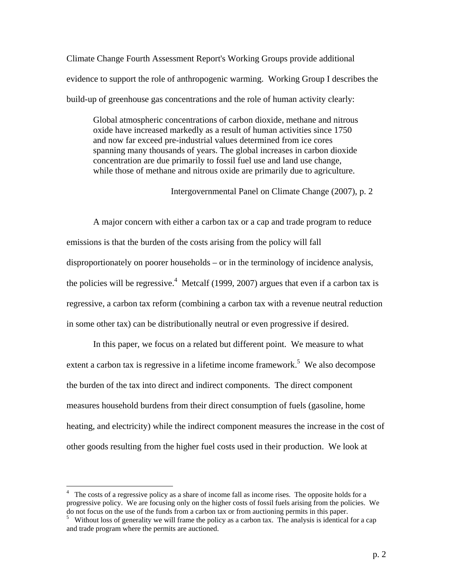Climate Change Fourth Assessment Report's Working Groups provide additional evidence to support the role of anthropogenic warming. Working Group I describes the build-up of greenhouse gas concentrations and the role of human activity clearly:

Global atmospheric concentrations of carbon dioxide, methane and nitrous oxide have increased markedly as a result of human activities since 1750 and now far exceed pre-industrial values determined from ice cores spanning many thousands of years. The global increases in carbon dioxide concentration are due primarily to fossil fuel use and land use change, while those of methane and nitrous oxide are primarily due to agriculture.

Intergovernmental Panel on Climate Change (2007), p. 2

 A major concern with either a carbon tax or a cap and trade program to reduce emissions is that the burden of the costs arising from the policy will fall disproportionately on poorer households – or in the terminology of incidence analysis, the policies will be regressive.<sup>4</sup> Metcalf (1999, 2007) argues that even if a carbon tax is regressive, a carbon tax reform (combining a carbon tax with a revenue neutral reduction in some other tax) can be distributionally neutral or even progressive if desired.

 In this paper, we focus on a related but different point. We measure to what extent a carbon tax is regressive in a lifetime income framework.<sup>5</sup> We also decompose the burden of the tax into direct and indirect components. The direct component measures household burdens from their direct consumption of fuels (gasoline, home heating, and electricity) while the indirect component measures the increase in the cost of other goods resulting from the higher fuel costs used in their production. We look at

 $\overline{a}$ 

<sup>&</sup>lt;sup>4</sup> The costs of a regressive policy as a share of income fall as income rises. The opposite holds for a progressive policy. We are focusing only on the higher costs of fossil fuels arising from the policies. We do not focus on the use of the funds from a carbon tax or from auctioning permits in this paper.

<sup>&</sup>lt;sup>5</sup> Without loss of generality we will frame the policy as a carbon tax. The analysis is identical for a cap and trade program where the permits are auctioned.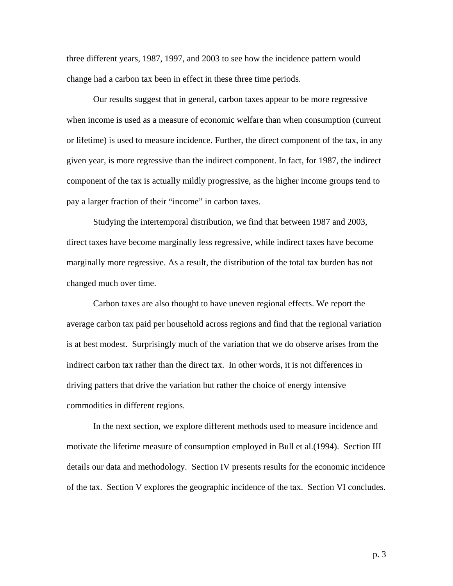three different years, 1987, 1997, and 2003 to see how the incidence pattern would change had a carbon tax been in effect in these three time periods.

Our results suggest that in general, carbon taxes appear to be more regressive when income is used as a measure of economic welfare than when consumption (current or lifetime) is used to measure incidence. Further, the direct component of the tax, in any given year, is more regressive than the indirect component. In fact, for 1987, the indirect component of the tax is actually mildly progressive, as the higher income groups tend to pay a larger fraction of their "income" in carbon taxes.

Studying the intertemporal distribution, we find that between 1987 and 2003, direct taxes have become marginally less regressive, while indirect taxes have become marginally more regressive. As a result, the distribution of the total tax burden has not changed much over time.

Carbon taxes are also thought to have uneven regional effects. We report the average carbon tax paid per household across regions and find that the regional variation is at best modest. Surprisingly much of the variation that we do observe arises from the indirect carbon tax rather than the direct tax. In other words, it is not differences in driving patters that drive the variation but rather the choice of energy intensive commodities in different regions.

In the next section, we explore different methods used to measure incidence and motivate the lifetime measure of consumption employed in Bull et al.(1994). Section III details our data and methodology. Section IV presents results for the economic incidence of the tax. Section V explores the geographic incidence of the tax. Section VI concludes.

p. 3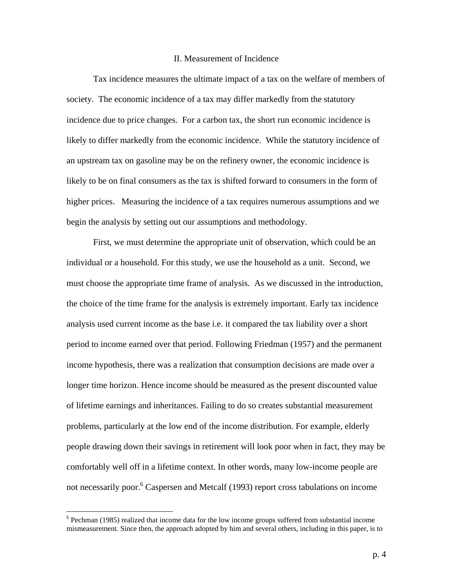## II. Measurement of Incidence

Tax incidence measures the ultimate impact of a tax on the welfare of members of society. The economic incidence of a tax may differ markedly from the statutory incidence due to price changes. For a carbon tax, the short run economic incidence is likely to differ markedly from the economic incidence. While the statutory incidence of an upstream tax on gasoline may be on the refinery owner, the economic incidence is likely to be on final consumers as the tax is shifted forward to consumers in the form of higher prices. Measuring the incidence of a tax requires numerous assumptions and we begin the analysis by setting out our assumptions and methodology.

First, we must determine the appropriate unit of observation, which could be an individual or a household. For this study, we use the household as a unit. Second, we must choose the appropriate time frame of analysis. As we discussed in the introduction, the choice of the time frame for the analysis is extremely important. Early tax incidence analysis used current income as the base i.e. it compared the tax liability over a short period to income earned over that period. Following Friedman (1957) and the permanent income hypothesis, there was a realization that consumption decisions are made over a longer time horizon. Hence income should be measured as the present discounted value of lifetime earnings and inheritances. Failing to do so creates substantial measurement problems, particularly at the low end of the income distribution. For example, elderly people drawing down their savings in retirement will look poor when in fact, they may be comfortably well off in a lifetime context. In other words, many low-income people are not necessarily poor.<sup>6</sup> Caspersen and Metcalf (1993) report cross tabulations on income

 $\overline{a}$ 

<sup>&</sup>lt;sup>6</sup> Pechman (1985) realized that income data for the low income groups suffered from substantial income mismeasurement. Since then, the approach adopted by him and several others, including in this paper, is to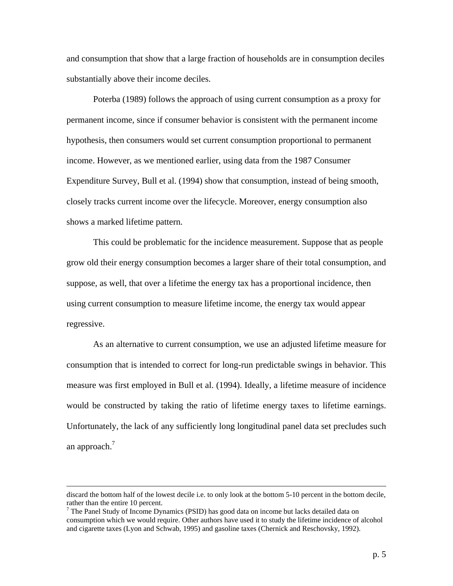and consumption that show that a large fraction of households are in consumption deciles substantially above their income deciles.

Poterba (1989) follows the approach of using current consumption as a proxy for permanent income, since if consumer behavior is consistent with the permanent income hypothesis, then consumers would set current consumption proportional to permanent income. However, as we mentioned earlier, using data from the 1987 Consumer Expenditure Survey, Bull et al. (1994) show that consumption, instead of being smooth, closely tracks current income over the lifecycle. Moreover, energy consumption also shows a marked lifetime pattern.

This could be problematic for the incidence measurement. Suppose that as people grow old their energy consumption becomes a larger share of their total consumption, and suppose, as well, that over a lifetime the energy tax has a proportional incidence, then using current consumption to measure lifetime income, the energy tax would appear regressive.

As an alternative to current consumption, we use an adjusted lifetime measure for consumption that is intended to correct for long-run predictable swings in behavior. This measure was first employed in Bull et al. (1994). Ideally, a lifetime measure of incidence would be constructed by taking the ratio of lifetime energy taxes to lifetime earnings. Unfortunately, the lack of any sufficiently long longitudinal panel data set precludes such an approach. $<sup>7</sup>$ </sup>

discard the bottom half of the lowest decile i.e. to only look at the bottom 5-10 percent in the bottom decile, rather than the entire 10 percent.

<sup>&</sup>lt;sup>7</sup> The Panel Study of Income Dynamics (PSID) has good data on income but lacks detailed data on consumption which we would require. Other authors have used it to study the lifetime incidence of alcohol and cigarette taxes (Lyon and Schwab, 1995) and gasoline taxes (Chernick and Reschovsky, 1992).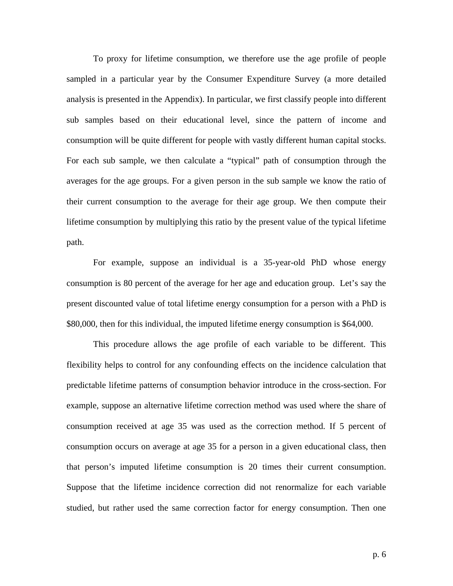To proxy for lifetime consumption, we therefore use the age profile of people sampled in a particular year by the Consumer Expenditure Survey (a more detailed analysis is presented in the Appendix). In particular, we first classify people into different sub samples based on their educational level, since the pattern of income and consumption will be quite different for people with vastly different human capital stocks. For each sub sample, we then calculate a "typical" path of consumption through the averages for the age groups. For a given person in the sub sample we know the ratio of their current consumption to the average for their age group. We then compute their lifetime consumption by multiplying this ratio by the present value of the typical lifetime path.

For example, suppose an individual is a 35-year-old PhD whose energy consumption is 80 percent of the average for her age and education group. Let's say the present discounted value of total lifetime energy consumption for a person with a PhD is \$80,000, then for this individual, the imputed lifetime energy consumption is \$64,000.

This procedure allows the age profile of each variable to be different. This flexibility helps to control for any confounding effects on the incidence calculation that predictable lifetime patterns of consumption behavior introduce in the cross-section. For example, suppose an alternative lifetime correction method was used where the share of consumption received at age 35 was used as the correction method. If 5 percent of consumption occurs on average at age 35 for a person in a given educational class, then that person's imputed lifetime consumption is 20 times their current consumption. Suppose that the lifetime incidence correction did not renormalize for each variable studied, but rather used the same correction factor for energy consumption. Then one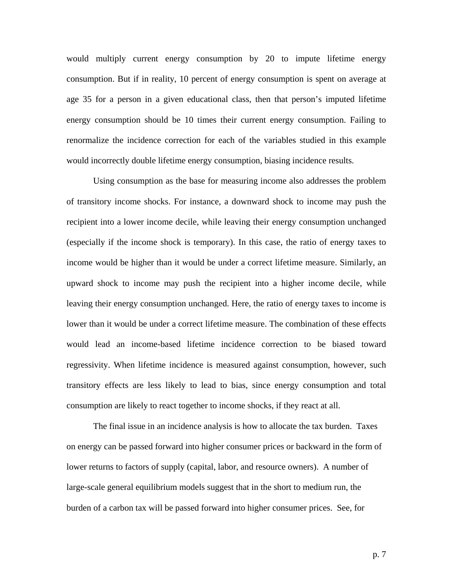would multiply current energy consumption by 20 to impute lifetime energy consumption. But if in reality, 10 percent of energy consumption is spent on average at age 35 for a person in a given educational class, then that person's imputed lifetime energy consumption should be 10 times their current energy consumption. Failing to renormalize the incidence correction for each of the variables studied in this example would incorrectly double lifetime energy consumption, biasing incidence results.

Using consumption as the base for measuring income also addresses the problem of transitory income shocks. For instance, a downward shock to income may push the recipient into a lower income decile, while leaving their energy consumption unchanged (especially if the income shock is temporary). In this case, the ratio of energy taxes to income would be higher than it would be under a correct lifetime measure. Similarly, an upward shock to income may push the recipient into a higher income decile, while leaving their energy consumption unchanged. Here, the ratio of energy taxes to income is lower than it would be under a correct lifetime measure. The combination of these effects would lead an income-based lifetime incidence correction to be biased toward regressivity. When lifetime incidence is measured against consumption, however, such transitory effects are less likely to lead to bias, since energy consumption and total consumption are likely to react together to income shocks, if they react at all.

The final issue in an incidence analysis is how to allocate the tax burden. Taxes on energy can be passed forward into higher consumer prices or backward in the form of lower returns to factors of supply (capital, labor, and resource owners). A number of large-scale general equilibrium models suggest that in the short to medium run, the burden of a carbon tax will be passed forward into higher consumer prices. See, for

p. 7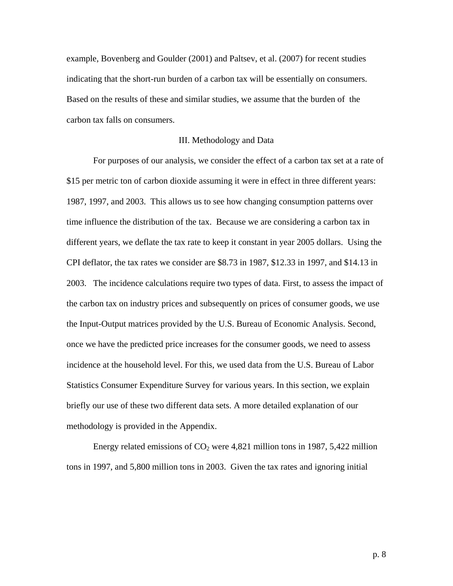example, Bovenberg and Goulder (2001) and Paltsev, et al. (2007) for recent studies indicating that the short-run burden of a carbon tax will be essentially on consumers. Based on the results of these and similar studies, we assume that the burden of the carbon tax falls on consumers.

### III. Methodology and Data

 For purposes of our analysis, we consider the effect of a carbon tax set at a rate of \$15 per metric ton of carbon dioxide assuming it were in effect in three different years: 1987, 1997, and 2003. This allows us to see how changing consumption patterns over time influence the distribution of the tax. Because we are considering a carbon tax in different years, we deflate the tax rate to keep it constant in year 2005 dollars. Using the CPI deflator, the tax rates we consider are \$8.73 in 1987, \$12.33 in 1997, and \$14.13 in 2003. The incidence calculations require two types of data. First, to assess the impact of the carbon tax on industry prices and subsequently on prices of consumer goods, we use the Input-Output matrices provided by the U.S. Bureau of Economic Analysis. Second, once we have the predicted price increases for the consumer goods, we need to assess incidence at the household level. For this, we used data from the U.S. Bureau of Labor Statistics Consumer Expenditure Survey for various years. In this section, we explain briefly our use of these two different data sets. A more detailed explanation of our methodology is provided in the Appendix.

Energy related emissions of  $CO<sub>2</sub>$  were 4,821 million tons in 1987, 5,422 million tons in 1997, and 5,800 million tons in 2003. Given the tax rates and ignoring initial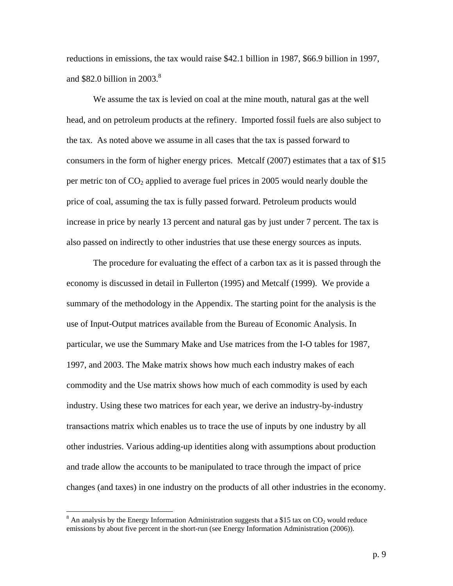reductions in emissions, the tax would raise \$42.1 billion in 1987, \$66.9 billion in 1997, and \$82.0 billion in  $2003.<sup>8</sup>$ 

 We assume the tax is levied on coal at the mine mouth, natural gas at the well head, and on petroleum products at the refinery. Imported fossil fuels are also subject to the tax. As noted above we assume in all cases that the tax is passed forward to consumers in the form of higher energy prices. Metcalf (2007) estimates that a tax of \$15 per metric ton of  $CO<sub>2</sub>$  applied to average fuel prices in 2005 would nearly double the price of coal, assuming the tax is fully passed forward. Petroleum products would increase in price by nearly 13 percent and natural gas by just under 7 percent. The tax is also passed on indirectly to other industries that use these energy sources as inputs.

 The procedure for evaluating the effect of a carbon tax as it is passed through the economy is discussed in detail in Fullerton (1995) and Metcalf (1999). We provide a summary of the methodology in the Appendix. The starting point for the analysis is the use of Input-Output matrices available from the Bureau of Economic Analysis. In particular, we use the Summary Make and Use matrices from the I-O tables for 1987, 1997, and 2003. The Make matrix shows how much each industry makes of each commodity and the Use matrix shows how much of each commodity is used by each industry. Using these two matrices for each year, we derive an industry-by-industry transactions matrix which enables us to trace the use of inputs by one industry by all other industries. Various adding-up identities along with assumptions about production and trade allow the accounts to be manipulated to trace through the impact of price changes (and taxes) in one industry on the products of all other industries in the economy.

 $\overline{a}$ 

 $8$  An analysis by the Energy Information Administration suggests that a \$15 tax on  $CO_2$  would reduce emissions by about five percent in the short-run (see Energy Information Administration (2006)).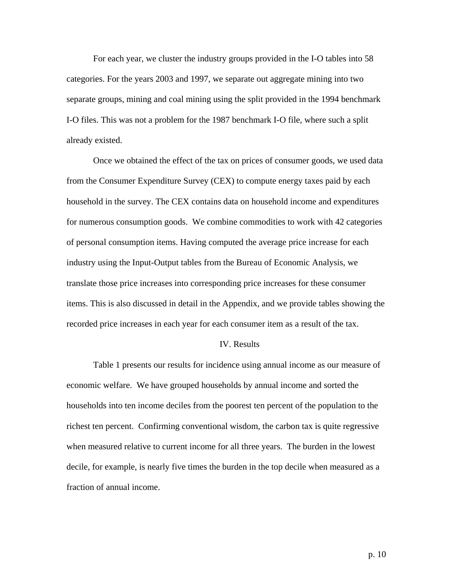For each year, we cluster the industry groups provided in the I-O tables into 58 categories. For the years 2003 and 1997, we separate out aggregate mining into two separate groups, mining and coal mining using the split provided in the 1994 benchmark I-O files. This was not a problem for the 1987 benchmark I-O file, where such a split already existed.

 Once we obtained the effect of the tax on prices of consumer goods, we used data from the Consumer Expenditure Survey (CEX) to compute energy taxes paid by each household in the survey. The CEX contains data on household income and expenditures for numerous consumption goods. We combine commodities to work with 42 categories of personal consumption items. Having computed the average price increase for each industry using the Input-Output tables from the Bureau of Economic Analysis, we translate those price increases into corresponding price increases for these consumer items. This is also discussed in detail in the Appendix, and we provide tables showing the recorded price increases in each year for each consumer item as a result of the tax.

## IV. Results

 Table 1 presents our results for incidence using annual income as our measure of economic welfare. We have grouped households by annual income and sorted the households into ten income deciles from the poorest ten percent of the population to the richest ten percent. Confirming conventional wisdom, the carbon tax is quite regressive when measured relative to current income for all three years. The burden in the lowest decile, for example, is nearly five times the burden in the top decile when measured as a fraction of annual income.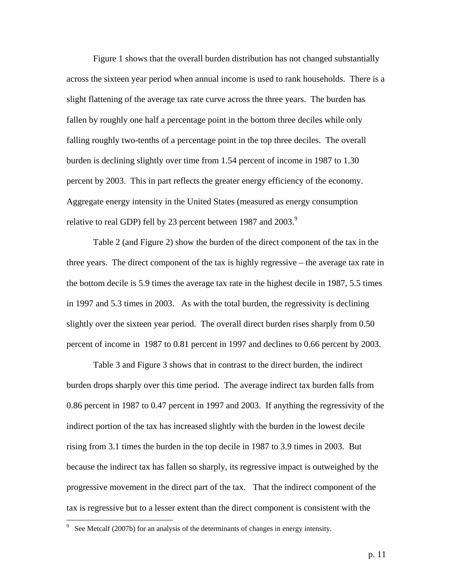Figure 1 shows that the overall burden distribution has not changed substantially across the sixteen year period when annual income is used to rank households. There is a slight flattening of the average tax rate curve across the three years. The burden has fallen by roughly one half a percentage point in the bottom three deciles while only falling roughly two-tenths of a percentage point in the top three deciles. The overall burden is declining slightly over time from 1.54 percent of income in 1987 to 1.30 percent by 2003. This in part reflects the greater energy efficiency of the economy. Aggregate energy intensity in the United States (measured as energy consumption relative to real GDP) fell by 23 percent between 1987 and 2003.<sup>9</sup>

 Table 2 (and Figure 2) show the burden of the direct component of the tax in the three years. The direct component of the tax is highly regressive – the average tax rate in the bottom decile is 5.9 times the average tax rate in the highest decile in 1987, 5.5 times in 1997 and 5.3 times in 2003. As with the total burden, the regressivity is declining slightly over the sixteen year period. The overall direct burden rises sharply from 0.50 percent of income in 1987 to 0.81 percent in 1997 and declines to 0.66 percent by 2003.

 Table 3 and Figure 3 shows that in contrast to the direct burden, the indirect burden drops sharply over this time period. The average indirect tax burden falls from 0.86 percent in 1987 to 0.47 percent in 1997 and 2003. If anything the regressivity of the indirect portion of the tax has increased slightly with the burden in the lowest decile rising from 3.1 times the burden in the top decile in 1987 to 3.9 times in 2003. But because the indirect tax has fallen so sharply, its regressive impact is outweighed by the progressive movement in the direct part of the tax. That the indirect component of the tax is regressive but to a lesser extent than the direct component is consistent with the

<sup>&</sup>lt;sup>9</sup> See Metcalf (2007b) for an analysis of the determinants of changes in energy intensity.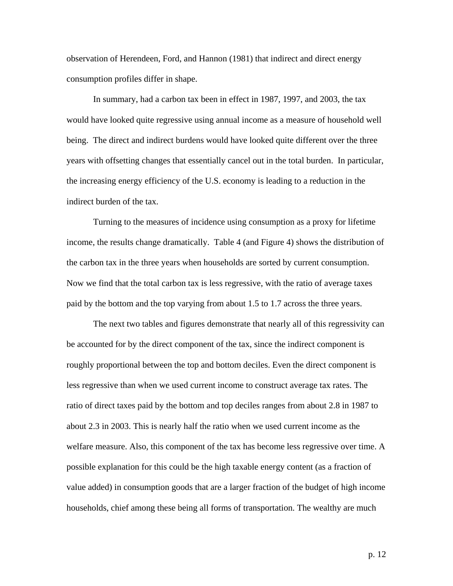observation of Herendeen, Ford, and Hannon (1981) that indirect and direct energy consumption profiles differ in shape.

 In summary, had a carbon tax been in effect in 1987, 1997, and 2003, the tax would have looked quite regressive using annual income as a measure of household well being. The direct and indirect burdens would have looked quite different over the three years with offsetting changes that essentially cancel out in the total burden. In particular, the increasing energy efficiency of the U.S. economy is leading to a reduction in the indirect burden of the tax.

 Turning to the measures of incidence using consumption as a proxy for lifetime income, the results change dramatically. Table 4 (and Figure 4) shows the distribution of the carbon tax in the three years when households are sorted by current consumption. Now we find that the total carbon tax is less regressive, with the ratio of average taxes paid by the bottom and the top varying from about 1.5 to 1.7 across the three years.

 The next two tables and figures demonstrate that nearly all of this regressivity can be accounted for by the direct component of the tax, since the indirect component is roughly proportional between the top and bottom deciles. Even the direct component is less regressive than when we used current income to construct average tax rates. The ratio of direct taxes paid by the bottom and top deciles ranges from about 2.8 in 1987 to about 2.3 in 2003. This is nearly half the ratio when we used current income as the welfare measure. Also, this component of the tax has become less regressive over time. A possible explanation for this could be the high taxable energy content (as a fraction of value added) in consumption goods that are a larger fraction of the budget of high income households, chief among these being all forms of transportation. The wealthy are much

p. 12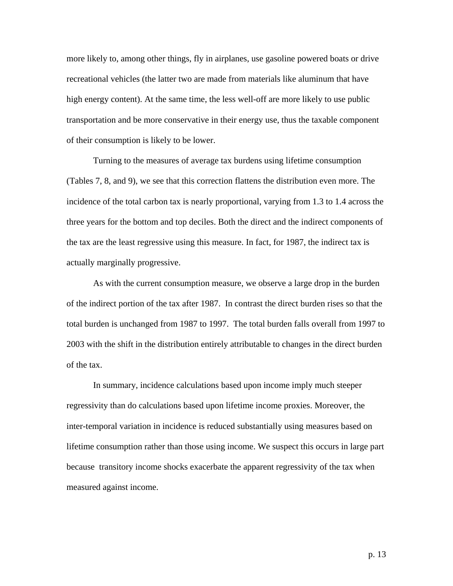more likely to, among other things, fly in airplanes, use gasoline powered boats or drive recreational vehicles (the latter two are made from materials like aluminum that have high energy content). At the same time, the less well-off are more likely to use public transportation and be more conservative in their energy use, thus the taxable component of their consumption is likely to be lower.

 Turning to the measures of average tax burdens using lifetime consumption (Tables 7, 8, and 9), we see that this correction flattens the distribution even more. The incidence of the total carbon tax is nearly proportional, varying from 1.3 to 1.4 across the three years for the bottom and top deciles. Both the direct and the indirect components of the tax are the least regressive using this measure. In fact, for 1987, the indirect tax is actually marginally progressive.

 As with the current consumption measure, we observe a large drop in the burden of the indirect portion of the tax after 1987. In contrast the direct burden rises so that the total burden is unchanged from 1987 to 1997. The total burden falls overall from 1997 to 2003 with the shift in the distribution entirely attributable to changes in the direct burden of the tax.

 In summary, incidence calculations based upon income imply much steeper regressivity than do calculations based upon lifetime income proxies. Moreover, the inter-temporal variation in incidence is reduced substantially using measures based on lifetime consumption rather than those using income. We suspect this occurs in large part because transitory income shocks exacerbate the apparent regressivity of the tax when measured against income.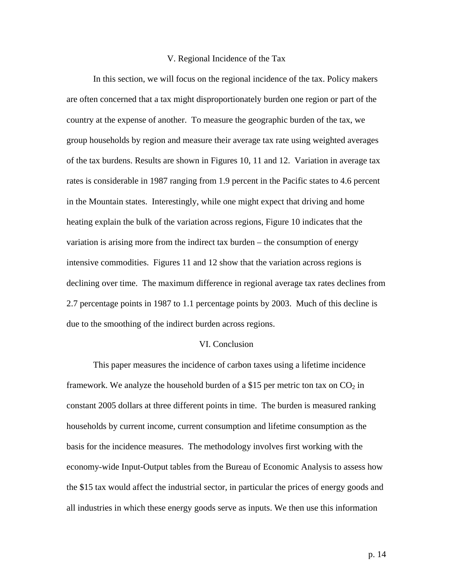#### V. Regional Incidence of the Tax

 In this section, we will focus on the regional incidence of the tax. Policy makers are often concerned that a tax might disproportionately burden one region or part of the country at the expense of another. To measure the geographic burden of the tax, we group households by region and measure their average tax rate using weighted averages of the tax burdens. Results are shown in Figures 10, 11 and 12. Variation in average tax rates is considerable in 1987 ranging from 1.9 percent in the Pacific states to 4.6 percent in the Mountain states. Interestingly, while one might expect that driving and home heating explain the bulk of the variation across regions, Figure 10 indicates that the variation is arising more from the indirect tax burden – the consumption of energy intensive commodities. Figures 11 and 12 show that the variation across regions is declining over time. The maximum difference in regional average tax rates declines from 2.7 percentage points in 1987 to 1.1 percentage points by 2003. Much of this decline is due to the smoothing of the indirect burden across regions.

## VI. Conclusion

 This paper measures the incidence of carbon taxes using a lifetime incidence framework. We analyze the household burden of a \$15 per metric ton tax on  $CO<sub>2</sub>$  in constant 2005 dollars at three different points in time. The burden is measured ranking households by current income, current consumption and lifetime consumption as the basis for the incidence measures. The methodology involves first working with the economy-wide Input-Output tables from the Bureau of Economic Analysis to assess how the \$15 tax would affect the industrial sector, in particular the prices of energy goods and all industries in which these energy goods serve as inputs. We then use this information

p. 14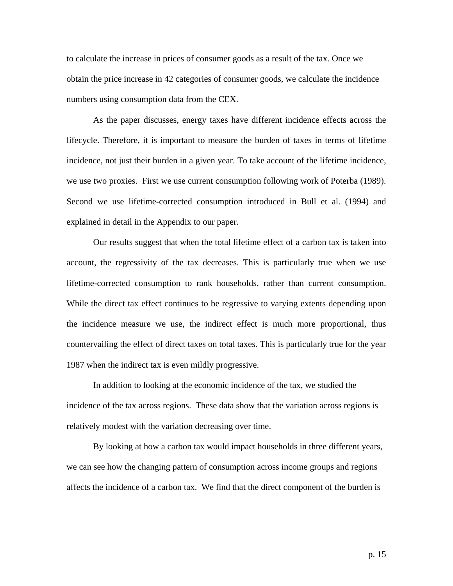to calculate the increase in prices of consumer goods as a result of the tax. Once we obtain the price increase in 42 categories of consumer goods, we calculate the incidence numbers using consumption data from the CEX.

 As the paper discusses, energy taxes have different incidence effects across the lifecycle. Therefore, it is important to measure the burden of taxes in terms of lifetime incidence, not just their burden in a given year. To take account of the lifetime incidence, we use two proxies. First we use current consumption following work of Poterba (1989). Second we use lifetime-corrected consumption introduced in Bull et al. (1994) and explained in detail in the Appendix to our paper.

 Our results suggest that when the total lifetime effect of a carbon tax is taken into account, the regressivity of the tax decreases. This is particularly true when we use lifetime-corrected consumption to rank households, rather than current consumption. While the direct tax effect continues to be regressive to varying extents depending upon the incidence measure we use, the indirect effect is much more proportional, thus countervailing the effect of direct taxes on total taxes. This is particularly true for the year 1987 when the indirect tax is even mildly progressive.

 In addition to looking at the economic incidence of the tax, we studied the incidence of the tax across regions. These data show that the variation across regions is relatively modest with the variation decreasing over time.

 By looking at how a carbon tax would impact households in three different years, we can see how the changing pattern of consumption across income groups and regions affects the incidence of a carbon tax. We find that the direct component of the burden is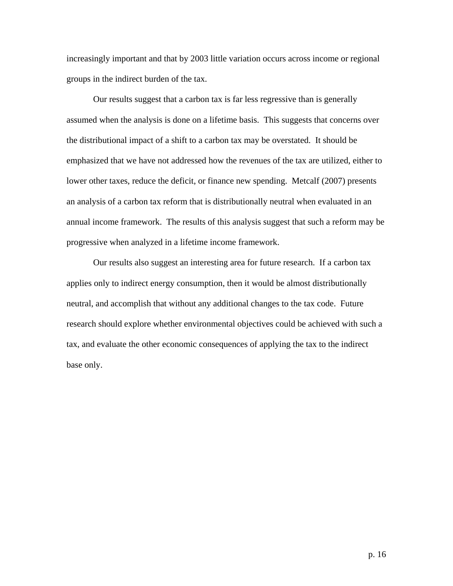increasingly important and that by 2003 little variation occurs across income or regional groups in the indirect burden of the tax.

 Our results suggest that a carbon tax is far less regressive than is generally assumed when the analysis is done on a lifetime basis. This suggests that concerns over the distributional impact of a shift to a carbon tax may be overstated. It should be emphasized that we have not addressed how the revenues of the tax are utilized, either to lower other taxes, reduce the deficit, or finance new spending. Metcalf (2007) presents an analysis of a carbon tax reform that is distributionally neutral when evaluated in an annual income framework. The results of this analysis suggest that such a reform may be progressive when analyzed in a lifetime income framework.

 Our results also suggest an interesting area for future research. If a carbon tax applies only to indirect energy consumption, then it would be almost distributionally neutral, and accomplish that without any additional changes to the tax code. Future research should explore whether environmental objectives could be achieved with such a tax, and evaluate the other economic consequences of applying the tax to the indirect base only.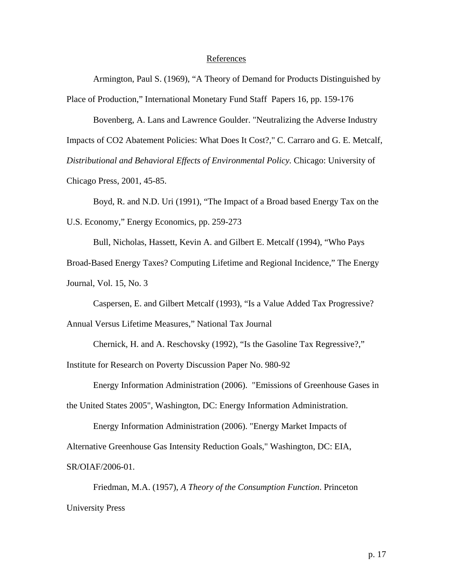#### References

Armington, Paul S. (1969), "A Theory of Demand for Products Distinguished by Place of Production," International Monetary Fund Staff Papers 16, pp. 159-176

Bovenberg, A. Lans and Lawrence Goulder. "Neutralizing the Adverse Industry

Impacts of CO2 Abatement Policies: What Does It Cost?," C. Carraro and G. E. Metcalf,

*Distributional and Behavioral Effects of Environmental Policy.* Chicago: University of

Chicago Press, 2001, 45-85.

Boyd, R. and N.D. Uri (1991), "The Impact of a Broad based Energy Tax on the U.S. Economy," Energy Economics, pp. 259-273

Bull, Nicholas, Hassett, Kevin A. and Gilbert E. Metcalf (1994), "Who Pays

Broad-Based Energy Taxes? Computing Lifetime and Regional Incidence," The Energy Journal, Vol. 15, No. 3

Caspersen, E. and Gilbert Metcalf (1993), "Is a Value Added Tax Progressive?

Annual Versus Lifetime Measures," National Tax Journal

Chernick, H. and A. Reschovsky (1992), "Is the Gasoline Tax Regressive?,"

Institute for Research on Poverty Discussion Paper No. 980-92

Energy Information Administration (2006). "Emissions of Greenhouse Gases in

the United States 2005", Washington, DC: Energy Information Administration.

 Energy Information Administration (2006). "Energy Market Impacts of Alternative Greenhouse Gas Intensity Reduction Goals," Washington, DC: EIA, SR/OIAF/2006-01.

Friedman, M.A. (1957), *A Theory of the Consumption Function*. Princeton University Press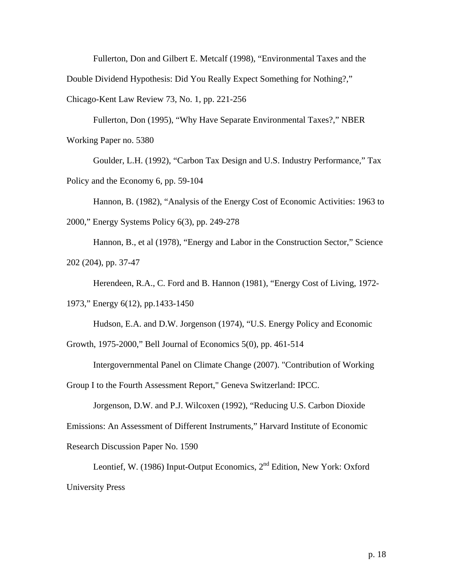Fullerton, Don and Gilbert E. Metcalf (1998), "Environmental Taxes and the Double Dividend Hypothesis: Did You Really Expect Something for Nothing?," Chicago-Kent Law Review 73, No. 1, pp. 221-256

Fullerton, Don (1995), "Why Have Separate Environmental Taxes?," NBER Working Paper no. 5380

Goulder, L.H. (1992), "Carbon Tax Design and U.S. Industry Performance," Tax Policy and the Economy 6, pp. 59-104

Hannon, B. (1982), "Analysis of the Energy Cost of Economic Activities: 1963 to 2000," Energy Systems Policy 6(3), pp. 249-278

Hannon, B., et al (1978), "Energy and Labor in the Construction Sector," Science 202 (204), pp. 37-47

Herendeen, R.A., C. Ford and B. Hannon (1981), "Energy Cost of Living, 1972- 1973," Energy 6(12), pp.1433-1450

Hudson, E.A. and D.W. Jorgenson (1974), "U.S. Energy Policy and Economic

Growth, 1975-2000," Bell Journal of Economics 5(0), pp. 461-514

Intergovernmental Panel on Climate Change (2007). "Contribution of Working

Group I to the Fourth Assessment Report," Geneva Switzerland: IPCC.

Jorgenson, D.W. and P.J. Wilcoxen (1992), "Reducing U.S. Carbon Dioxide Emissions: An Assessment of Different Instruments," Harvard Institute of Economic Research Discussion Paper No. 1590

Leontief, W. (1986) Input-Output Economics, 2nd Edition, New York: Oxford University Press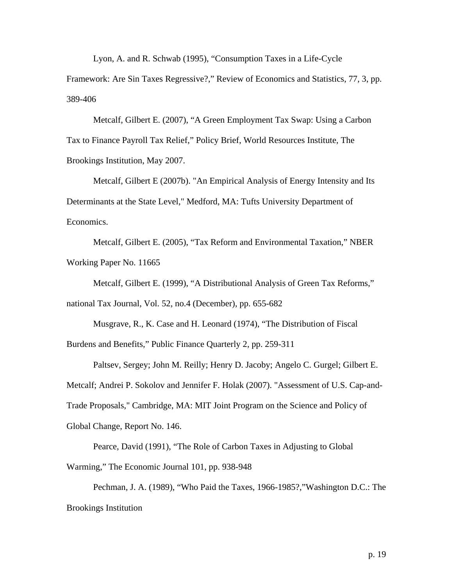Lyon, A. and R. Schwab (1995), "Consumption Taxes in a Life-Cycle

Framework: Are Sin Taxes Regressive?," Review of Economics and Statistics, 77, 3, pp. 389-406

Metcalf, Gilbert E. (2007), "A Green Employment Tax Swap: Using a Carbon Tax to Finance Payroll Tax Relief," Policy Brief, World Resources Institute, The Brookings Institution, May 2007.

Metcalf, Gilbert E (2007b). "An Empirical Analysis of Energy Intensity and Its Determinants at the State Level," Medford, MA: Tufts University Department of Economics.

Metcalf, Gilbert E. (2005), "Tax Reform and Environmental Taxation," NBER Working Paper No. 11665

Metcalf, Gilbert E. (1999), "A Distributional Analysis of Green Tax Reforms," national Tax Journal, Vol. 52, no.4 (December), pp. 655-682

Musgrave, R., K. Case and H. Leonard (1974), "The Distribution of Fiscal Burdens and Benefits," Public Finance Quarterly 2, pp. 259-311

Paltsev, Sergey; John M. Reilly; Henry D. Jacoby; Angelo C. Gurgel; Gilbert E. Metcalf; Andrei P. Sokolov and Jennifer F. Holak (2007). "Assessment of U.S. Cap-and-Trade Proposals," Cambridge, MA: MIT Joint Program on the Science and Policy of Global Change, Report No. 146.

Pearce, David (1991), "The Role of Carbon Taxes in Adjusting to Global Warming," The Economic Journal 101, pp. 938-948

Pechman, J. A. (1989), "Who Paid the Taxes, 1966-1985?,"Washington D.C.: The Brookings Institution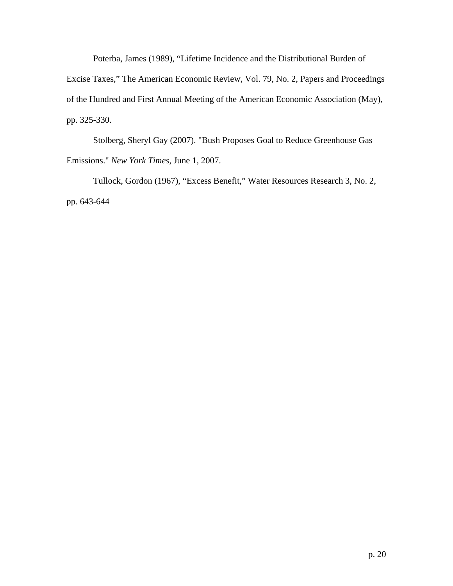Poterba, James (1989), "Lifetime Incidence and the Distributional Burden of Excise Taxes," The American Economic Review, Vol. 79, No. 2, Papers and Proceedings of the Hundred and First Annual Meeting of the American Economic Association (May), pp. 325-330.

Stolberg, Sheryl Gay (2007). "Bush Proposes Goal to Reduce Greenhouse Gas Emissions." *New York Times*, June 1, 2007.

Tullock, Gordon (1967), "Excess Benefit," Water Resources Research 3, No. 2, pp. 643-644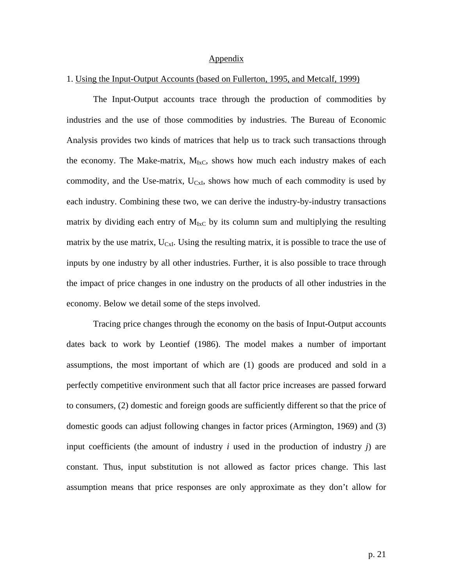#### Appendix

### 1. Using the Input-Output Accounts (based on Fullerton, 1995, and Metcalf, 1999)

The Input-Output accounts trace through the production of commodities by industries and the use of those commodities by industries. The Bureau of Economic Analysis provides two kinds of matrices that help us to track such transactions through the economy. The Make-matrix,  $M_{IxC}$ , shows how much each industry makes of each commodity, and the Use-matrix,  $U_{CxI}$ , shows how much of each commodity is used by each industry. Combining these two, we can derive the industry-by-industry transactions matrix by dividing each entry of  $M_{IxC}$  by its column sum and multiplying the resulting matrix by the use matrix,  $U_{\text{C}xI}$ . Using the resulting matrix, it is possible to trace the use of inputs by one industry by all other industries. Further, it is also possible to trace through the impact of price changes in one industry on the products of all other industries in the economy. Below we detail some of the steps involved.

Tracing price changes through the economy on the basis of Input-Output accounts dates back to work by Leontief (1986). The model makes a number of important assumptions, the most important of which are (1) goods are produced and sold in a perfectly competitive environment such that all factor price increases are passed forward to consumers, (2) domestic and foreign goods are sufficiently different so that the price of domestic goods can adjust following changes in factor prices (Armington, 1969) and (3) input coefficients (the amount of industry *i* used in the production of industry *j*) are constant. Thus, input substitution is not allowed as factor prices change. This last assumption means that price responses are only approximate as they don't allow for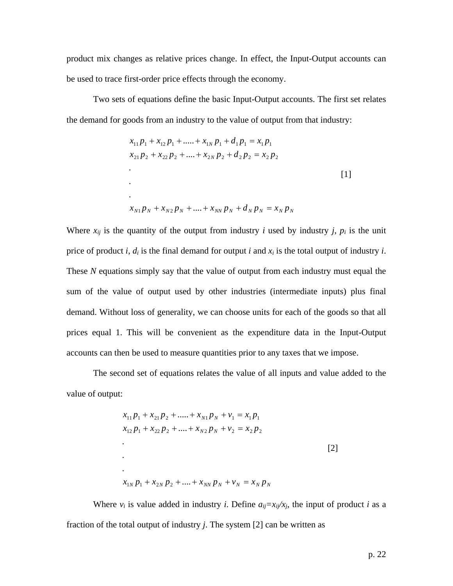product mix changes as relative prices change. In effect, the Input-Output accounts can be used to trace first-order price effects through the economy.

Two sets of equations define the basic Input-Output accounts. The first set relates the demand for goods from an industry to the value of output from that industry:

$$
x_{11}p_1 + x_{12}p_1 + \dots + x_{1N}p_1 + d_1p_1 = x_1p_1
$$
  
\n
$$
x_{21}p_2 + x_{22}p_2 + \dots + x_{2N}p_2 + d_2p_2 = x_2p_2
$$
  
\n...  
\n
$$
x_{N1}p_N + x_{N2}p_N + \dots + x_{NN}p_N + d_Np_N = x_Np_N
$$

Where  $x_{ij}$  is the quantity of the output from industry *i* used by industry *j*,  $p_i$  is the unit price of product *i*,  $d_i$  is the final demand for output *i* and  $x_i$  is the total output of industry *i*. These *N* equations simply say that the value of output from each industry must equal the sum of the value of output used by other industries (intermediate inputs) plus final demand. Without loss of generality, we can choose units for each of the goods so that all prices equal 1. This will be convenient as the expenditure data in the Input-Output accounts can then be used to measure quantities prior to any taxes that we impose.

 The second set of equations relates the value of all inputs and value added to the value of output:

$$
x_{11}p_1 + x_{21}p_2 + \dots + x_{N1}p_N + v_1 = x_1p_1
$$
  
\n
$$
x_{12}p_1 + x_{22}p_2 + \dots + x_{N2}p_N + v_2 = x_2p_2
$$
  
\n
$$
\vdots
$$
  
\n
$$
x_{1N}p_1 + x_{2N}p_2 + \dots + x_{NN}p_N + v_N = x_Np_N
$$
  
\n[2]

Where  $v_i$  is value added in industry *i*. Define  $a_{ii} = x_{ii}/x_i$ , the input of product *i* as a fraction of the total output of industry *j*. The system [2] can be written as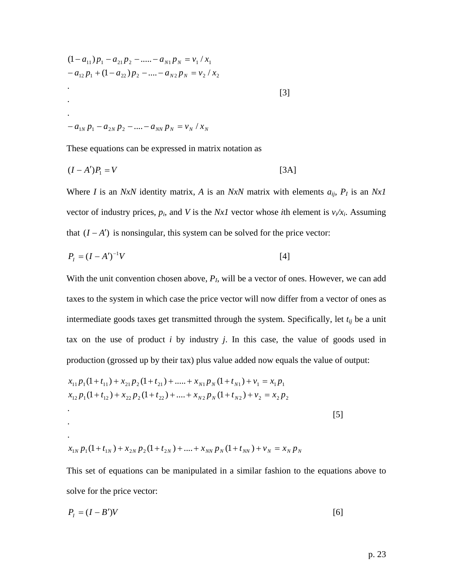$$
(1 - a_{11})p_1 - a_{21}p_2 - \dots - a_{N1}p_N = v_1 / x_1
$$
  
\n
$$
- a_{12}p_1 + (1 - a_{22})p_2 - \dots - a_{N2}p_N = v_2 / x_2
$$
  
\n
$$
\vdots
$$
  
\n
$$
- a_{1N}p_1 - a_{2N}p_2 - \dots - a_{NN}p_N = v_N / x_N
$$
\n
$$
(3)
$$

These equations can be expressed in matrix notation as

$$
(I - A')P_1 = V \tag{3A}
$$

Where *I* is an *NxN* identity matrix, *A* is an *NxN* matrix with elements  $a_{ij}$ ,  $P_I$  is an *Nx1* vector of industry prices,  $p_i$ , and *V* is the *Nx1* vector whose *i*th element is  $v_i/x_i$ . Assuming that  $(I - A')$  is nonsingular, this system can be solved for the price vector:

$$
P_I = (I - A')^{-1}V
$$
\n<sup>[4]</sup>

With the unit convention chosen above,  $P<sub>I</sub>$ , will be a vector of ones. However, we can add taxes to the system in which case the price vector will now differ from a vector of ones as intermediate goods taxes get transmitted through the system. Specifically, let *tij* be a unit tax on the use of product *i* by industry *j*. In this case, the value of goods used in production (grossed up by their tax) plus value added now equals the value of output:

$$
x_{11}p_1(1+t_{11}) + x_{21}p_2(1+t_{21}) + \dots + x_{N1}p_N(1+t_{N1}) + v_1 = x_1p_1
$$
  
\n
$$
x_{12}p_1(1+t_{12}) + x_{22}p_2(1+t_{22}) + \dots + x_{N2}p_N(1+t_{N2}) + v_2 = x_2p_2
$$
  
\n
$$
\vdots
$$
  
\n
$$
x_{1N}p_1(1+t_{1N}) + x_{2N}p_2(1+t_{2N}) + \dots + x_{NN}p_N(1+t_{NN}) + v_N = x_Np_N
$$

This set of equations can be manipulated in a similar fashion to the equations above to solve for the price vector:

$$
P_I = (I - B')V
$$
 [6]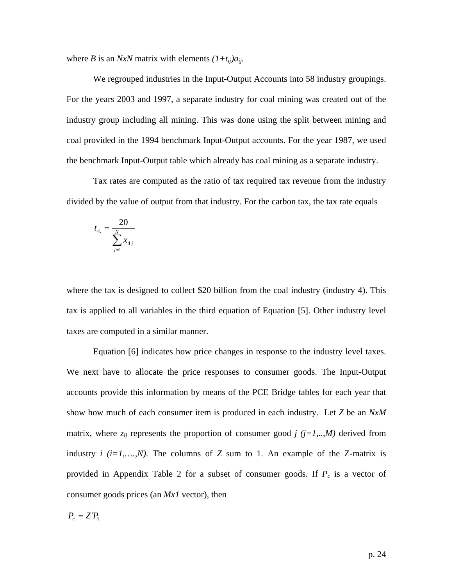where *B* is an *NxN* matrix with elements  $(1+t_{ij})a_{ij}$ .

We regrouped industries in the Input-Output Accounts into 58 industry groupings. For the years 2003 and 1997, a separate industry for coal mining was created out of the industry group including all mining. This was done using the split between mining and coal provided in the 1994 benchmark Input-Output accounts. For the year 1987, we used the benchmark Input-Output table which already has coal mining as a separate industry.

Tax rates are computed as the ratio of tax required tax revenue from the industry divided by the value of output from that industry. For the carbon tax, the tax rate equals

$$
t_{4.} = \frac{20}{\sum_{j=1}^{N} x_{4j}}
$$

where the tax is designed to collect \$20 billion from the coal industry (industry 4). This tax is applied to all variables in the third equation of Equation [5]. Other industry level taxes are computed in a similar manner.

 Equation [6] indicates how price changes in response to the industry level taxes. We next have to allocate the price responses to consumer goods. The Input-Output accounts provide this information by means of the PCE Bridge tables for each year that show how much of each consumer item is produced in each industry. Let *Z* be an *NxM* matrix, where  $z_{ij}$  represents the proportion of consumer good *j* ( $j=1,...,M$ ) derived from industry  $i$  ( $i=1,...,N$ ). The columns of  $Z$  sum to 1. An example of the  $Z$ -matrix is provided in Appendix Table 2 for a subset of consumer goods. If  $P_c$  is a vector of consumer goods prices (an *Mx1* vector), then

$$
P_c = Z' P_{1.}
$$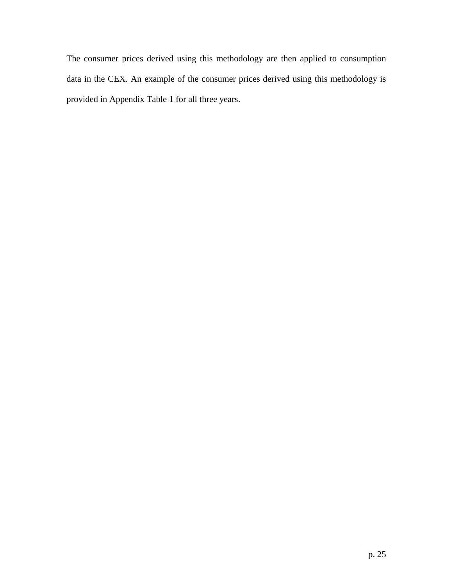The consumer prices derived using this methodology are then applied to consumption data in the CEX. An example of the consumer prices derived using this methodology is provided in Appendix Table 1 for all three years.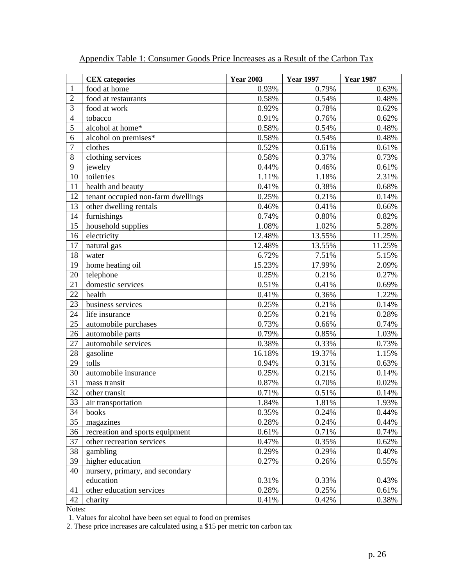|                | <b>CEX</b> categories              | <b>Year 2003</b> | <b>Year 1997</b> | <b>Year 1987</b> |
|----------------|------------------------------------|------------------|------------------|------------------|
| 1              | food at home                       | 0.93%            | 0.79%            | 0.63%            |
| $\overline{2}$ | food at restaurants                | 0.58%            | 0.54%            | 0.48%            |
| 3              | food at work                       | 0.92%            | 0.78%            | 0.62%            |
| $\overline{4}$ | tobacco                            | 0.91%            | 0.76%            | 0.62%            |
| 5              | alcohol at home*                   | 0.58%            | 0.54%            | 0.48%            |
| 6              | alcohol on premises*               | 0.58%            | 0.54%            | 0.48%            |
| $\overline{7}$ | clothes                            | 0.52%            | 0.61%            | 0.61%            |
| 8              | clothing services                  | 0.58%            | 0.37%            | 0.73%            |
| 9              | jewelry                            | 0.44%            | 0.46%            | 0.61%            |
| 10             | toiletries                         | 1.11%            | 1.18%            | 2.31%            |
| 11             | health and beauty                  | 0.41%            | 0.38%            | 0.68%            |
| 12             | tenant occupied non-farm dwellings | 0.25%            | 0.21%            | 0.14%            |
| 13             | other dwelling rentals             | 0.46%            | 0.41%            | 0.66%            |
| 14             | furnishings                        | 0.74%            | 0.80%            | 0.82%            |
| 15             | household supplies                 | 1.08%            | 1.02%            | 5.28%            |
| 16             | electricity                        | 12.48%           | 13.55%           | 11.25%           |
| 17             | natural gas                        | 12.48%           | 13.55%           | 11.25%           |
| 18             | water                              | 6.72%            | 7.51%            | 5.15%            |
| 19             | home heating oil                   | 15.23%           | 17.99%           | 2.09%            |
| 20             | telephone                          | 0.25%            | 0.21%            | 0.27%            |
| 21             | domestic services                  | 0.51%            | 0.41%            | 0.69%            |
| 22             | health                             | 0.41%            | 0.36%            | 1.22%            |
| 23             | business services                  | 0.25%            | 0.21%            | 0.14%            |
| 24             | life insurance                     | 0.25%            | 0.21%            | 0.28%            |
| 25             | automobile purchases               | 0.73%            | 0.66%            | 0.74%            |
| 26             | automobile parts                   | 0.79%            | 0.85%            | 1.03%            |
| 27             | automobile services                | 0.38%            | 0.33%            | 0.73%            |
| 28             | gasoline                           | 16.18%           | 19.37%           | 1.15%            |
| 29             | tolls                              | 0.94%            | 0.31%            | 0.63%            |
| 30             | automobile insurance               | 0.25%            | 0.21%            | 0.14%            |
| 31             | mass transit                       | 0.87%            | 0.70%            | 0.02%            |
| 32             | other transit                      | 0.71%            | 0.51%            | 0.14%            |
| 33             | air transportation                 | 1.84%            | 1.81%            | 1.93%            |
| 34             | books                              | 0.35%            | 0.24%            | 0.44%            |
| 35             | magazines                          | 0.28%            | 0.24%            | 0.44%            |
| 36             | recreation and sports equipment    | 0.61%            | 0.71%            | 0.74%            |
| 37             | other recreation services          | 0.47%            | 0.35%            | 0.62%            |
| 38             | gambling                           | 0.29%            | 0.29%            | 0.40%            |
| 39             | higher education                   | 0.27%            | 0.26%            | 0.55%            |
| 40             | nursery, primary, and secondary    |                  |                  |                  |
|                | education                          | 0.31%            | 0.33%            | 0.43%            |
| 41             | other education services           | 0.28%            | 0.25%            | 0.61%            |
| 42             | charity                            | $0.41\%$         | 0.42%            | 0.38%            |

# Appendix Table 1: Consumer Goods Price Increases as a Result of the Carbon Tax

Notes:

1. Values for alcohol have been set equal to food on premises

2. These price increases are calculated using a \$15 per metric ton carbon tax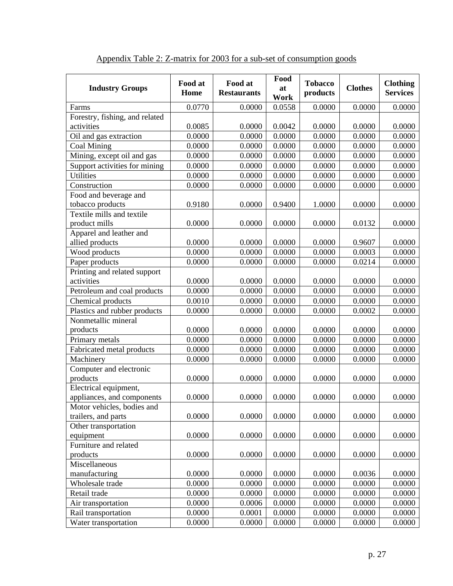| <b>Industry Groups</b>         | Food at<br>Home | Food at<br><b>Restaurants</b> | Food<br>at | <b>Tobacco</b><br>products | <b>Clothes</b> | <b>Clothing</b><br><b>Services</b> |
|--------------------------------|-----------------|-------------------------------|------------|----------------------------|----------------|------------------------------------|
|                                |                 |                               | Work       |                            |                |                                    |
| Farms                          | 0.0770          | 0.0000                        | 0.0558     | 0.0000                     | 0.0000         | 0.0000                             |
| Forestry, fishing, and related |                 |                               |            |                            |                |                                    |
| activities                     | 0.0085          | 0.0000                        | 0.0042     | 0.0000                     | 0.0000         | 0.0000                             |
| Oil and gas extraction         | 0.0000          | 0.0000                        | 0.0000     | 0.0000                     | 0.0000         | 0.0000                             |
| Coal Mining                    | 0.0000          | 0.0000                        | 0.0000     | 0.0000                     | 0.0000         | 0.0000                             |
| Mining, except oil and gas     | 0.0000          | 0.0000                        | 0.0000     | 0.0000                     | 0.0000         | 0.0000                             |
| Support activities for mining  | 0.0000          | 0.0000                        | 0.0000     | 0.0000                     | 0.0000         | 0.0000                             |
| <b>Utilities</b>               | 0.0000          | 0.0000                        | 0.0000     | 0.0000                     | 0.0000         | 0.0000                             |
| Construction                   | 0.0000          | 0.0000                        | 0.0000     | 0.0000                     | 0.0000         | 0.0000                             |
| Food and beverage and          |                 |                               |            |                            |                |                                    |
| tobacco products               | 0.9180          | 0.0000                        | 0.9400     | 1.0000                     | 0.0000         | 0.0000                             |
| Textile mills and textile      |                 |                               |            |                            |                |                                    |
| product mills                  | 0.0000          | 0.0000                        | 0.0000     | 0.0000                     | 0.0132         | 0.0000                             |
| Apparel and leather and        |                 |                               |            |                            |                |                                    |
| allied products                | 0.0000          | 0.0000                        | 0.0000     | 0.0000                     | 0.9607         | 0.0000                             |
| Wood products                  | 0.0000          | 0.0000                        | 0.0000     | 0.0000                     | 0.0003         | 0.0000                             |
| Paper products                 | 0.0000          | 0.0000                        | 0.0000     | 0.0000                     | 0.0214         | 0.0000                             |
| Printing and related support   |                 |                               |            |                            |                |                                    |
| activities                     | 0.0000          | 0.0000                        | 0.0000     | 0.0000                     | 0.0000         | 0.0000                             |
| Petroleum and coal products    | 0.0000          | 0.0000                        | 0.0000     | 0.0000                     | 0.0000         | 0.0000                             |
| Chemical products              | 0.0010          | 0.0000                        | 0.0000     | 0.0000                     | 0.0000         | 0.0000                             |
| Plastics and rubber products   | 0.0000          | 0.0000                        | 0.0000     | 0.0000                     | 0.0002         | 0.0000                             |
| Nonmetallic mineral            |                 |                               |            |                            |                |                                    |
| products                       | 0.0000          | 0.0000                        | 0.0000     | 0.0000                     | 0.0000         | 0.0000                             |
| Primary metals                 | 0.0000          | 0.0000                        | 0.0000     | 0.0000                     | 0.0000         | 0.0000                             |
| Fabricated metal products      | 0.0000          | 0.0000                        | 0.0000     | 0.0000                     | 0.0000         | 0.0000                             |
| Machinery                      | 0.0000          | 0.0000                        | 0.0000     | 0.0000                     | 0.0000         | 0.0000                             |
| Computer and electronic        |                 |                               |            |                            |                |                                    |
| products                       | 0.0000          | 0.0000                        | 0.0000     | 0.0000                     | 0.0000         | 0.0000                             |
| Electrical equipment,          |                 |                               |            |                            |                |                                    |
| appliances, and components     | 0.0000          | 0.0000                        | 0.0000     | 0.0000                     | 0.0000         | 0.0000                             |
| Motor vehicles, bodies and     |                 |                               |            |                            |                |                                    |
| trailers, and parts            | 0.0000          | 0.0000                        | 0.0000     | 0.0000                     | 0.0000         | 0.0000                             |
| Other transportation           |                 |                               |            |                            |                |                                    |
| equipment                      | 0.0000          | 0.0000                        | 0.0000     | 0.0000                     | 0.0000         | 0.0000                             |
| Furniture and related          |                 |                               |            |                            |                |                                    |
| products                       | 0.0000          | 0.0000                        | 0.0000     | 0.0000                     | 0.0000         | 0.0000                             |
| Miscellaneous                  |                 |                               |            |                            |                |                                    |
| manufacturing                  | 0.0000          | 0.0000                        | 0.0000     | 0.0000                     | 0.0036         | 0.0000                             |
| Wholesale trade                | 0.0000          | 0.0000                        | 0.0000     | 0.0000                     | 0.0000         | 0.0000                             |
| Retail trade                   | 0.0000          | 0.0000                        | 0.0000     | 0.0000                     | 0.0000         | 0.0000                             |
| Air transportation             | 0.0000          | 0.0006                        | 0.0000     | 0.0000                     | 0.0000         | 0.0000                             |
| Rail transportation            | 0.0000          | 0.0001                        | 0.0000     | 0.0000                     | 0.0000         | 0.0000                             |
| Water transportation           | 0.0000          | 0.0000                        | 0.0000     | 0.0000                     | 0.0000         | 0.0000                             |

| Appendix Table 2: Z-matrix for 2003 for a sub-set of consumption goods |  |
|------------------------------------------------------------------------|--|
|------------------------------------------------------------------------|--|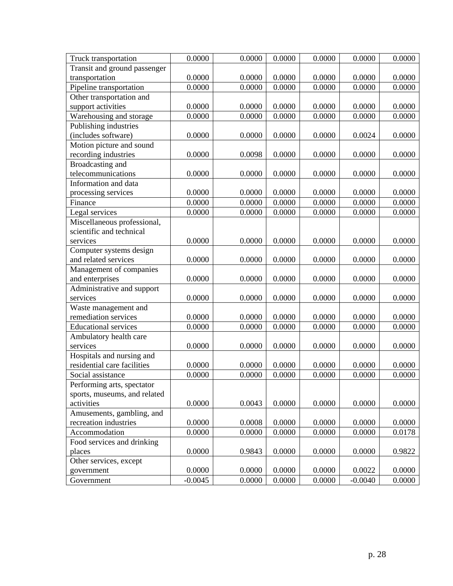| Truck transportation         | 0.0000    | 0.0000 | 0.0000 | 0.0000 | 0.0000    | 0.0000 |
|------------------------------|-----------|--------|--------|--------|-----------|--------|
| Transit and ground passenger |           |        |        |        |           |        |
| transportation               | 0.0000    | 0.0000 | 0.0000 | 0.0000 | 0.0000    | 0.0000 |
| Pipeline transportation      | 0.0000    | 0.0000 | 0.0000 | 0.0000 | 0.0000    | 0.0000 |
| Other transportation and     |           |        |        |        |           |        |
| support activities           | 0.0000    | 0.0000 | 0.0000 | 0.0000 | 0.0000    | 0.0000 |
| Warehousing and storage      | 0.0000    | 0.0000 | 0.0000 | 0.0000 | 0.0000    | 0.0000 |
| Publishing industries        |           |        |        |        |           |        |
| (includes software)          | 0.0000    | 0.0000 | 0.0000 | 0.0000 | 0.0024    | 0.0000 |
| Motion picture and sound     |           |        |        |        |           |        |
| recording industries         | 0.0000    | 0.0098 | 0.0000 | 0.0000 | 0.0000    | 0.0000 |
| Broadcasting and             |           |        |        |        |           |        |
| telecommunications           | 0.0000    | 0.0000 | 0.0000 | 0.0000 | 0.0000    | 0.0000 |
| Information and data         |           |        |        |        |           |        |
| processing services          | 0.0000    | 0.0000 | 0.0000 | 0.0000 | 0.0000    | 0.0000 |
| Finance                      | 0.0000    | 0.0000 | 0.0000 | 0.0000 | 0.0000    | 0.0000 |
| Legal services               | 0.0000    | 0.0000 | 0.0000 | 0.0000 | 0.0000    | 0.0000 |
| Miscellaneous professional,  |           |        |        |        |           |        |
| scientific and technical     |           |        |        |        |           |        |
| services                     | 0.0000    | 0.0000 | 0.0000 | 0.0000 | 0.0000    | 0.0000 |
| Computer systems design      |           |        |        |        |           |        |
| and related services         | 0.0000    | 0.0000 | 0.0000 | 0.0000 | 0.0000    | 0.0000 |
| Management of companies      |           |        |        |        |           |        |
| and enterprises              | 0.0000    | 0.0000 | 0.0000 | 0.0000 | 0.0000    | 0.0000 |
| Administrative and support   |           |        |        |        |           |        |
| services                     | 0.0000    | 0.0000 | 0.0000 | 0.0000 | 0.0000    | 0.0000 |
| Waste management and         |           |        |        |        |           |        |
| remediation services         | 0.0000    | 0.0000 | 0.0000 | 0.0000 | 0.0000    | 0.0000 |
| <b>Educational services</b>  | 0.0000    | 0.0000 | 0.0000 | 0.0000 | 0.0000    | 0.0000 |
| Ambulatory health care       |           |        |        |        |           |        |
| services                     | 0.0000    | 0.0000 | 0.0000 | 0.0000 | 0.0000    | 0.0000 |
| Hospitals and nursing and    |           |        |        |        |           |        |
| residential care facilities  | 0.0000    | 0.0000 | 0.0000 | 0.0000 | 0.0000    | 0.0000 |
| Social assistance            | 0.0000    | 0.0000 | 0.0000 | 0.0000 | 0.0000    | 0.0000 |
| Performing arts, spectator   |           |        |        |        |           |        |
| sports, museums, and related |           |        |        |        |           |        |
| activities                   | 0.0000    | 0.0043 | 0.0000 | 0.0000 | 0.0000    | 0.0000 |
| Amusements, gambling, and    |           |        |        |        |           |        |
| recreation industries        | 0.0000    | 0.0008 | 0.0000 | 0.0000 | 0.0000    | 0.0000 |
| Accommodation                | 0.0000    | 0.0000 | 0.0000 | 0.0000 | 0.0000    | 0.0178 |
| Food services and drinking   |           |        |        |        |           |        |
| places                       | 0.0000    | 0.9843 | 0.0000 | 0.0000 | 0.0000    | 0.9822 |
| Other services, except       |           |        |        |        |           |        |
| government                   | 0.0000    | 0.0000 | 0.0000 | 0.0000 | 0.0022    | 0.0000 |
| Government                   | $-0.0045$ | 0.0000 | 0.0000 | 0.0000 | $-0.0040$ | 0.0000 |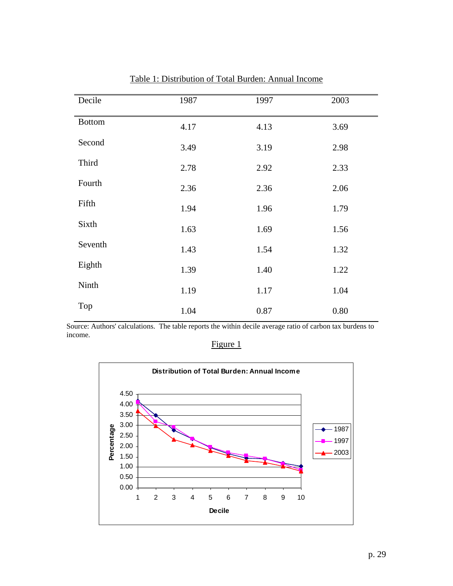| Decile        | 1987 | 1997 | 2003 |
|---------------|------|------|------|
| <b>Bottom</b> | 4.17 | 4.13 | 3.69 |
| Second        | 3.49 | 3.19 | 2.98 |
| Third         | 2.78 | 2.92 | 2.33 |
| Fourth        | 2.36 | 2.36 | 2.06 |
| Fifth         | 1.94 | 1.96 | 1.79 |
| Sixth         | 1.63 | 1.69 | 1.56 |
| Seventh       | 1.43 | 1.54 | 1.32 |
| Eighth        | 1.39 | 1.40 | 1.22 |
| Ninth         | 1.19 | 1.17 | 1.04 |
| Top           | 1.04 | 0.87 | 0.80 |

Table 1: Distribution of Total Burden: Annual Income

Figure 1

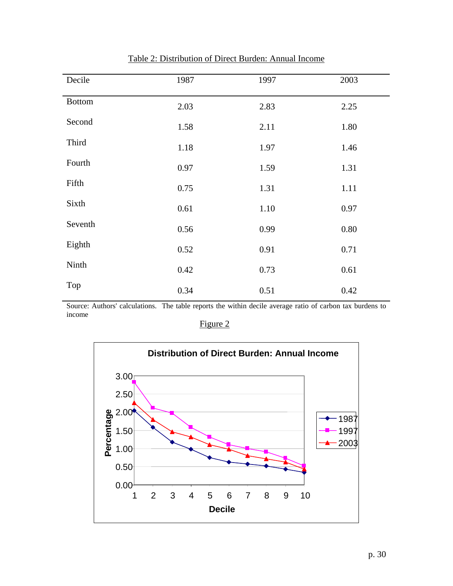| Decile        | 1987 | 1997 | 2003 |
|---------------|------|------|------|
| <b>Bottom</b> | 2.03 | 2.83 | 2.25 |
| Second        | 1.58 | 2.11 | 1.80 |
| Third         | 1.18 | 1.97 | 1.46 |
| Fourth        | 0.97 | 1.59 | 1.31 |
| Fifth         | 0.75 | 1.31 | 1.11 |
| Sixth         | 0.61 | 1.10 | 0.97 |
| Seventh       | 0.56 | 0.99 | 0.80 |
| Eighth        | 0.52 | 0.91 | 0.71 |
| Ninth         | 0.42 | 0.73 | 0.61 |
| Top           | 0.34 | 0.51 | 0.42 |

Table 2: Distribution of Direct Burden: Annual Income

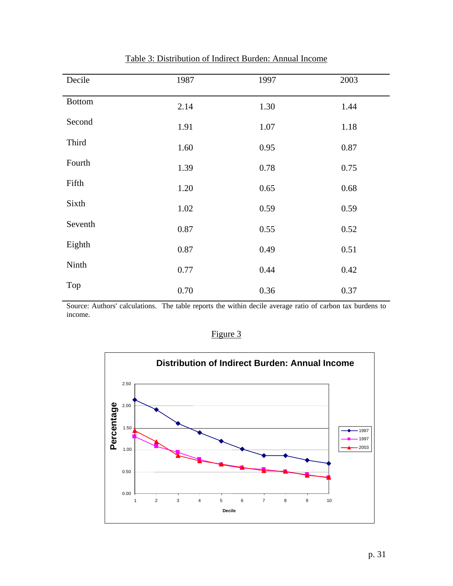| Decile        | 1987 | 1997 | 2003 |
|---------------|------|------|------|
| <b>Bottom</b> | 2.14 | 1.30 | 1.44 |
| Second        | 1.91 | 1.07 | 1.18 |
| Third         | 1.60 | 0.95 | 0.87 |
| Fourth        | 1.39 | 0.78 | 0.75 |
| Fifth         | 1.20 | 0.65 | 0.68 |
| Sixth         | 1.02 | 0.59 | 0.59 |
| Seventh       | 0.87 | 0.55 | 0.52 |
| Eighth        | 0.87 | 0.49 | 0.51 |
| Ninth         | 0.77 | 0.44 | 0.42 |
| Top           | 0.70 | 0.36 | 0.37 |

Table 3: Distribution of Indirect Burden: Annual Income

Figure 3

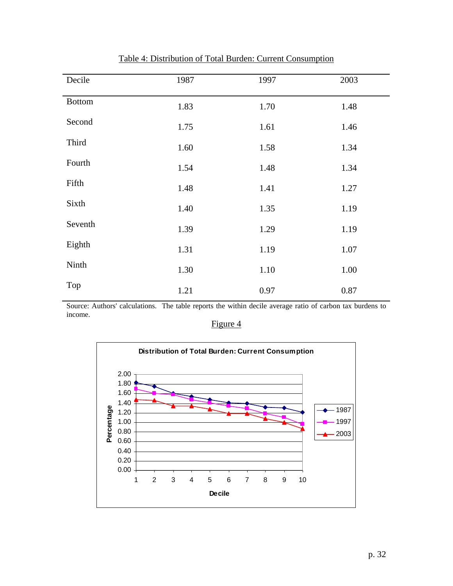| Decile        | 1987 | 1997 | 2003 |
|---------------|------|------|------|
| <b>Bottom</b> | 1.83 | 1.70 | 1.48 |
| Second        | 1.75 | 1.61 | 1.46 |
| Third         | 1.60 | 1.58 | 1.34 |
| Fourth        | 1.54 | 1.48 | 1.34 |
| Fifth         | 1.48 | 1.41 | 1.27 |
| Sixth         | 1.40 | 1.35 | 1.19 |
| Seventh       | 1.39 | 1.29 | 1.19 |
| Eighth        | 1.31 | 1.19 | 1.07 |
| Ninth         | 1.30 | 1.10 | 1.00 |
| Top           | 1.21 | 0.97 | 0.87 |

Table 4: Distribution of Total Burden: Current Consumption

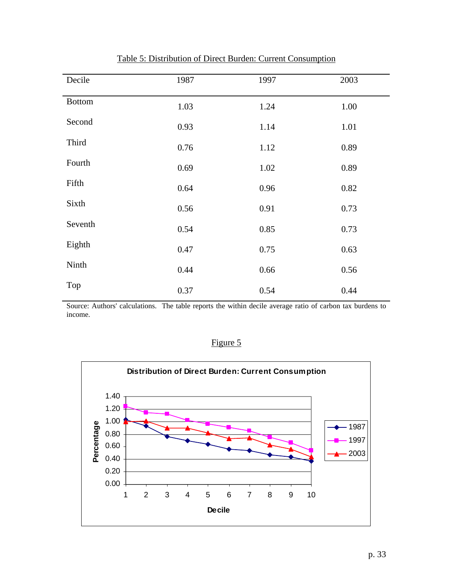| Decile        | 1987 | 1997 | 2003 |
|---------------|------|------|------|
| <b>Bottom</b> | 1.03 | 1.24 | 1.00 |
| Second        | 0.93 | 1.14 | 1.01 |
| Third         | 0.76 | 1.12 | 0.89 |
| Fourth        | 0.69 | 1.02 | 0.89 |
| Fifth         | 0.64 | 0.96 | 0.82 |
| Sixth         | 0.56 | 0.91 | 0.73 |
| Seventh       | 0.54 | 0.85 | 0.73 |
| Eighth        | 0.47 | 0.75 | 0.63 |
| Ninth         | 0.44 | 0.66 | 0.56 |
| Top           | 0.37 | 0.54 | 0.44 |

Table 5: Distribution of Direct Burden: Current Consumption



1 2 3 4 5 6 7 8 9 10 **Decile**

**Percentage**

Figure 5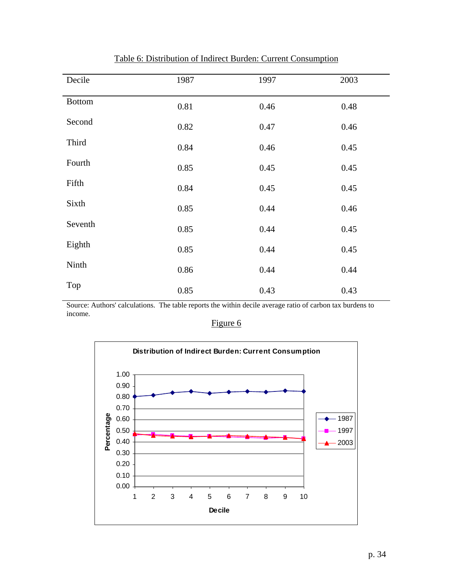| Decile        | 1987 | 1997 | 2003 |
|---------------|------|------|------|
| <b>Bottom</b> | 0.81 | 0.46 | 0.48 |
| Second        | 0.82 | 0.47 | 0.46 |
| Third         | 0.84 | 0.46 | 0.45 |
| Fourth        | 0.85 | 0.45 | 0.45 |
| Fifth         | 0.84 | 0.45 | 0.45 |
| Sixth         | 0.85 | 0.44 | 0.46 |
| Seventh       | 0.85 | 0.44 | 0.45 |
| Eighth        | 0.85 | 0.44 | 0.45 |
| Ninth         | 0.86 | 0.44 | 0.44 |
| Top           | 0.85 | 0.43 | 0.43 |

Table 6: Distribution of Indirect Burden: Current Consumption

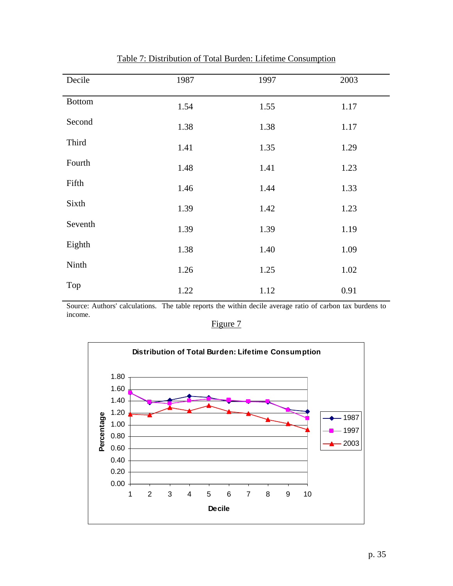| Decile        | 1987 | 1997 | 2003 |
|---------------|------|------|------|
| <b>Bottom</b> | 1.54 | 1.55 | 1.17 |
| Second        | 1.38 | 1.38 | 1.17 |
| Third         | 1.41 | 1.35 | 1.29 |
| Fourth        | 1.48 | 1.41 | 1.23 |
| Fifth         | 1.46 | 1.44 | 1.33 |
| Sixth         | 1.39 | 1.42 | 1.23 |
| Seventh       | 1.39 | 1.39 | 1.19 |
| Eighth        | 1.38 | 1.40 | 1.09 |
| Ninth         | 1.26 | 1.25 | 1.02 |
| Top           | 1.22 | 1.12 | 0.91 |

Table 7: Distribution of Total Burden: Lifetime Consumption

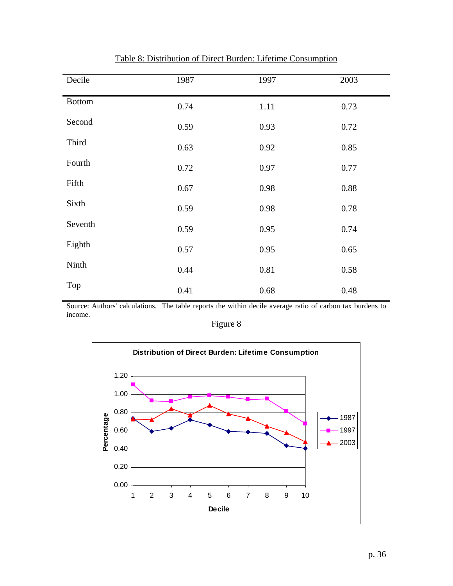| Decile        | 1987 | 1997 | 2003 |
|---------------|------|------|------|
| <b>Bottom</b> | 0.74 | 1.11 | 0.73 |
| Second        | 0.59 | 0.93 | 0.72 |
| Third         | 0.63 | 0.92 | 0.85 |
| Fourth        | 0.72 | 0.97 | 0.77 |
| Fifth         | 0.67 | 0.98 | 0.88 |
| Sixth         | 0.59 | 0.98 | 0.78 |
| Seventh       | 0.59 | 0.95 | 0.74 |
| Eighth        | 0.57 | 0.95 | 0.65 |
| Ninth         | 0.44 | 0.81 | 0.58 |
| Top           | 0.41 | 0.68 | 0.48 |

Table 8: Distribution of Direct Burden: Lifetime Consumption

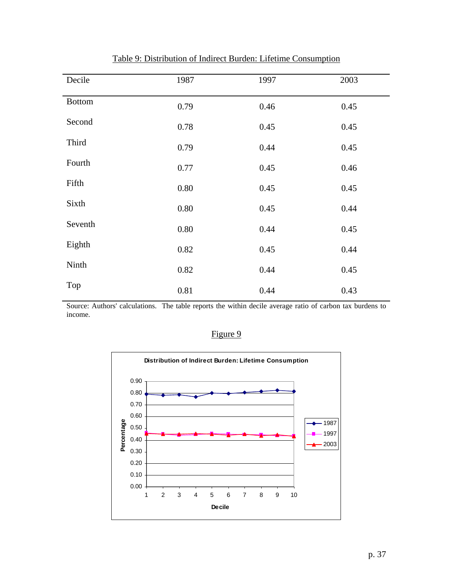| Decile        | 1987 | 1997 | 2003 |
|---------------|------|------|------|
| <b>Bottom</b> | 0.79 | 0.46 | 0.45 |
| Second        | 0.78 | 0.45 | 0.45 |
| Third         | 0.79 | 0.44 | 0.45 |
| Fourth        | 0.77 | 0.45 | 0.46 |
| Fifth         | 0.80 | 0.45 | 0.45 |
| Sixth         | 0.80 | 0.45 | 0.44 |
| Seventh       | 0.80 | 0.44 | 0.45 |
| Eighth        | 0.82 | 0.45 | 0.44 |
| Ninth         | 0.82 | 0.44 | 0.45 |
| Top           | 0.81 | 0.44 | 0.43 |

Table 9: Distribution of Indirect Burden: Lifetime Consumption

Figure 9

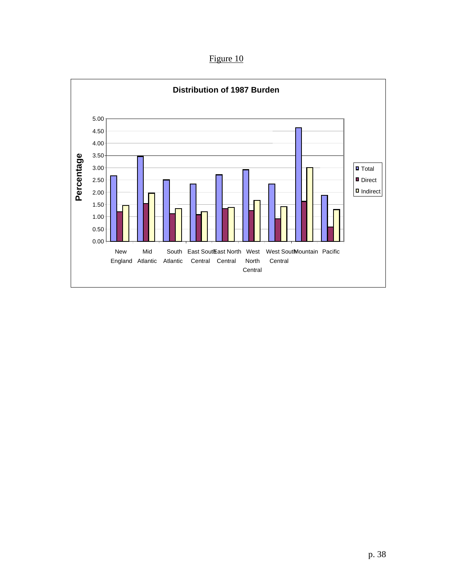Figure 10

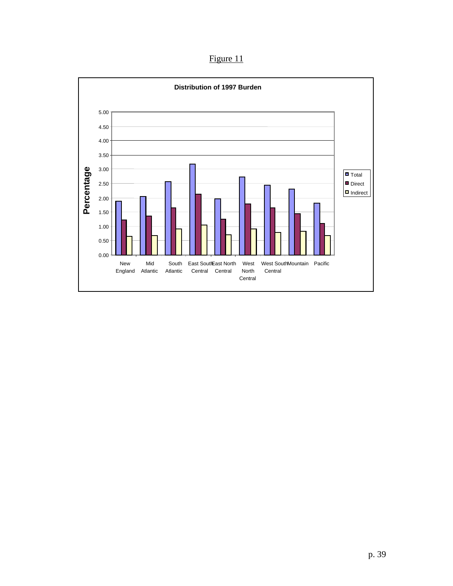Figure 11